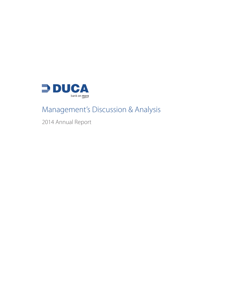

# Management's Discussion & Analysis

2014 Annual Report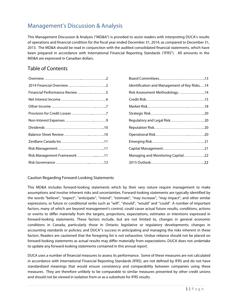## Management's Discussion & Analysis

This Management Discussion & Analysis ("MD&A") is provided to assist readers with interpreting DUCA's results of operations and financial condition for the fiscal year ended December 31, 2014, as compared to December 31, 2013. The MD&A should be read in conjunction with the audited consolidated financial statements, which have been prepared in accordance with International Financial Reporting Standards ("IFRS"). All amounts in the MD&A are expressed in Canadian dollars.

## Table of Contents

| Financial Performance Review 5 |  |
|--------------------------------|--|
|                                |  |
|                                |  |
|                                |  |
|                                |  |
|                                |  |
|                                |  |
|                                |  |
|                                |  |
| Risk Management Framework 11   |  |
|                                |  |

| Identification and Management of Key Risks14 |
|----------------------------------------------|
| Risk Assessment Methodology14                |
|                                              |
|                                              |
|                                              |
| Regulatory and Legal Risk 20                 |
|                                              |
|                                              |
|                                              |
|                                              |
| Managing and Monitoring Capital22            |
|                                              |

## Caution Regarding Forward-Looking Statements

This MD&A includes forward-looking statements which by their very nature require management to make assumptions and involve inherent risks and uncertainties. Forward-looking statements are typically identified by the words "believe", "expect", "anticipate", "intend", "estimate", "may increase", "may impact", and other similar expressions, or future or conditional verbs such as "will", "should", "would" and "could". A number of important factors, many of which are beyond management's control, could cause actual future results, conditions, actions or events to differ materially from the targets, projections, expectations, estimates or intentions expressed in forward-looking statements. These factors include, but are not limited to, changes in general economic conditions in Canada, particularly those in Ontario; legislative or regulatory developments; changes in accounting standards or policies; and DUCA"s success in anticipating and managing the risks inherent in these factors. Readers are cautioned that the foregoing list is not exhaustive. Undue reliance should not be placed on forward-looking statements as actual results may differ materially from expectations. DUCA does not undertake to update any forward-looking statements contained in this annual report.

DUCA uses a number of financial measures to assess its performance. Some of these measures are not calculated in accordance with International Financial Reporting Standards (IFRS), are not defined by IFRS and do not have standardized meanings that would ensure consistency and comparability between companies using these measures. They are therefore unlikely to be comparable to similar measures presented by other credit unions and should not be viewed in isolation from or as a substitute for IFRS results.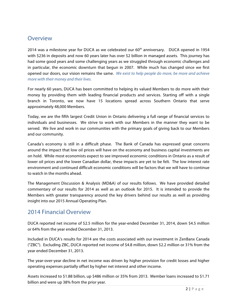## Overview

2014 was a milestone year for DUCA as we celebrated our  $60<sup>th</sup>$  anniversary. DUCA opened in 1954 with \$236 in deposits and now 60 years later has over \$2 billion in managed assets. This journey has had some good years and some challenging years as we struggled through economic challenges and in particular, the economic downturn that begun in 2007. While much has changed since we first opened our doors, our vision remains the same. *We exist to help people do more, be more and achieve more with their money and their lives.*

For nearly 60 years, DUCA has been committed to helping its valued Members to do more with their money by providing them with leading financial products and services. Starting off with a single branch in Toronto, we now have 15 locations spread across Southern Ontario that serve approximately 48,000 Members.

Today, we are the fifth largest Credit Union in Ontario delivering a full range of financial services to individuals and businesses. We strive to work with our Members in the manner they want to be served. We live and work in our communities with the primary goals of giving back to our Members and our community.

Canada's economy is still in a difficult phase. The Bank of Canada has expressed great concerns around the impact that low oil prices will have on the economy and business capital investments are on hold. While most economists expect to see improved economic conditions in Ontario as a result of lower oil prices and the lower Canadian dollar, these impacts are yet to be felt. The low interest rate environment and continued difficult economic conditions will be factors that we will have to continue to watch in the months ahead.

The Management Discussion & Analysis (MD&A) of our results follows. We have provided detailed commentary of our results for 2014 as well as an outlook for 2015. It is intended to provide the Members with greater transparency around the key drivers behind our results as well as providing insight into our 2015 Annual Operating Plan.

## 2014 Financial Overview

DUCA reported net income of \$2.5 million for the year-ended December 31, 2014, down \$4.5 million or 64% from the year ended December 31, 2013.

Included in DUCA's results for 2014 are the costs associated with our investment in ZenBanx Canada ("ZBC"). Excluding ZBC, DUCA reported net income of \$4.8 million, down \$2.2 million or 31% from the year ended December 31, 2013.

The year-over-year decline in net income was driven by higher provision for credit losses and higher operating expenses partially offset by higher net interest and other income.

Assets increased to \$1.88 billion, up \$486 million or 35% from 2013. Member loans increased to \$1.71 billion and were up 38% from the prior year.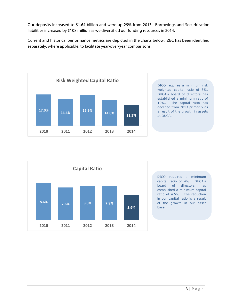Our deposits increased to \$1.64 billion and were up 29% from 2013. Borrowings and Securitization liabilities increased by \$108 million as we diversified our funding resources in 2014.

Current and historical performance metrics are depicted in the charts below. ZBC has been identified separately, where applicable, to facilitate year-over-year comparisons.



DICO requires a minimum risk weighted capital ratio of 8%. DUCA's board of directors has established a minimum ratio of 10%. The capital ratio has declined from 2013 primarily as a result of the growth in assets at DUCA.



DICO requires a minimum capital ratio of 4%. DUCA's board of directors has established a minimum capital ratio of 4.5%. The reduction in our capital ratio is a result of the growth in our asset base.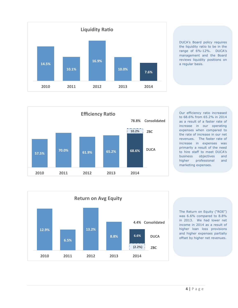

DUCA's Board policy requires the liquidity ratio to be in the range of 6%-12%. DUCA's management and the Board reviews liquidity positions on a regular basis.



Our efficiency ratio increased to 68.6% from 65.2% in 2014 as a result of a faster rate of increase in our operating expenses when compared to the rate of increase in our net revenues. The faster rate of increase in expenses was primarily a result of the need to hire staff to meet DUCA's business objectives and higher professional and marketing expenses.



The Return on Equity ("ROE") was 6.6% compared to 8.8% in 2013. We had lower net income in 2014 as a result of higher loan loss provisions and higher expenses partially offset by higher net revenues.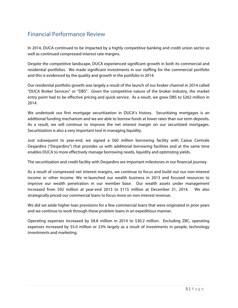## Financial Performance Review

In 2014, DUCA continued to be impacted by a highly competitive banking and credit union sector as well as continued compressed interest rate margins.

Despite the competitive landscape, DUCA experienced significant growth in both its commercial and residential portfolios. We made significant investments in our staffing for the commercial portfolio and this is evidenced by the quality and growth in the portfolio in 2014.

Our residential portfolio growth was largely a result of the launch of our broker channel in 2014 called "DUCA Broker Services" or "DBS". Given the competitive nature of the broker industry, the market entry point had to be effective pricing and quick service. As a result, we grew DBS to \$262 million in 2014.

We undertook our first mortgage securitization in DUCA's history. Securitizing mortgages is an additional funding mechanism and we are able to borrow funds at lower rates than our term deposits. As a result, we will continue to improve the net interest margin on our securitized mortgages. Securitization is also a very important tool in managing liquidity.

Just subsequent to year-end, we signed a \$60 million borrowing facility with Caisse Centrale Desjardins ("Desjardins") that provides us with additional borrowing facilities and at the same time enables DUCA to more effectively manage borrowing needs, liquidity and optimizing yields.

The securitization and credit facility with Desjardins are important milestones in our financial journey.

As a result of compressed net interest margins, we continue to focus and build out our non-interest income or other income. We re-launched our wealth business in 2013 and focused resources to improve our wealth penetration in our member base. Our wealth assets under management increased from \$92 million at year-end 2013 to \$115 million at December 31, 2014. We also strategically priced our commercial loans to focus more on non-interest revenue.

We did set aside higher loan provisions for a few commercial loans that were originated in prior years and we continue to work through these problem loans in an expeditious manner.

Operating expenses increased by \$8.8 million in 2014 to \$30.2 million. Excluding ZBC, operating expenses increased by \$5.0 million or 23% largely as a result of investments in people, technology investments and marketing.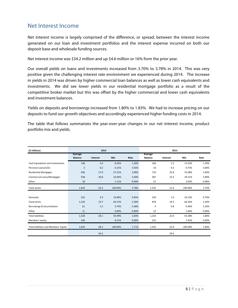## Net Interest Income

Net interest income is largely comprised of the difference, or spread, between the interest income generated on our loan and investment portfolios and the interest expense incurred on both our deposit base and wholesale funding sources.

Net interest income was \$34.2 million and up \$4.6 million or 16% from the prior year.

Our overall yields on loans and investments increased from 3.70% to 3.78% in 2014. This was very positive given the challenging interest rate environment we experienced during 2014. The increase in yields in 2014 was driven by higher commercial loan balances as well as lower cash equivalents and investments. We did see lower yields in our residential mortgage portfolio as a result of the competitive broker market but this was offset by the higher commercial and lower cash equivalents and investment balances.

Yields on deposits and borrowings increased from 1.80% to 1.83%. We had to increase pricing on our deposits to fund our growth objectives and accordingly experienced higher funding costs in 2014.

The table that follows summarizes the year-over-year changes in our net interest income, product portfolio mix and yields.

| (\$ millions)                         | 2014                      |                          |            | 2013  |                           |          |            |       |
|---------------------------------------|---------------------------|--------------------------|------------|-------|---------------------------|----------|------------|-------|
|                                       | Average<br><b>Balance</b> | <b>Interest</b>          | <b>Mix</b> | Rate  | Average<br><b>Balance</b> | Interest | <b>Mix</b> | Rate  |
| Cash Equivalents and Investments      | 138                       | 3.6                      | 8.43%      | 1.30% | 166                       | 2.2      | 12.53%     | 1.30% |
| Personal Loans/LOCs                   | 3                         | 0.2                      | 0.21%      | 3.56% | 10                        | 0.3      | 0.75%      | 3.60% |
| <b>Residential Mortgages</b>          | 936                       | 27.9                     | 57.31%     | 3.08% | 710                       | 25.8     | 53.58%     | 3.40% |
| <b>Commercial Loans/Mortgages</b>     | 538                       | 30.8                     | 32.94%     | 5.40% | 387                       | 23.3     | 29.21%     | 5.80% |
| Other                                 | 18                        | $\overline{\phantom{a}}$ | 1.11%      | 0.00% | 52                        |          | 3.92%      | 0.00% |
| Total assets                          | 1,634                     | 62.4                     | 100.00%    | 3.78% | 1,325                     | 51.6     | 100.00%    | 3.70% |
|                                       |                           |                          |            |       |                           |          |            |       |
| Demands                               | 325                       | 2.9                      | 19.90%     | 0.85% | 320                       | 1.9      | 24.15%     | 0.70% |
| Fixed terms                           | 1,130                     | 23.7                     | 69.15%     | 2.28% | 878                       | 19.3     | 66.26%     | 2.20% |
| Borrowings & Securitization           | 61                        | 1.5                      | 3.74%      | 2.48% | 4                         | 0.8      | 0.30%      | 2.20% |
| Other                                 | 11                        | $\overline{\phantom{a}}$ | 0.69%      | 0.00% | 22                        | $\sim$   | 1.66%      | 0.00% |
| <b>Total liabilities</b>              | 1,528                     | 28.1                     | 93.49%     | 1.83% | 1,224                     | 22.0     | 92.38%     | 1.80% |
| Members' equity                       | 106                       | $\overline{\phantom{a}}$ | 6.51%      | 0.00% | 101                       |          | 7.62%      | 0.00% |
| Total liabilities and Members' equity | 1,634                     | 28.1                     | 100.00%    | 1.71% | 1,325                     | 22.0     | 100.00%    | 1.60% |
|                                       |                           | 34.2                     |            |       |                           | 29.6     |            |       |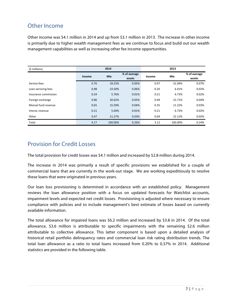## Other Income

Other income was \$4.1 million in 2014 and up from \$3.1 million in 2013. The increase in other income is primarily due to higher wealth management fees as we continue to focus and build out our wealth management capabilities as well as increasing other fee income opportunities.

| (\$ millions)        | 2014   |            |                        | 2013   |         |                        |
|----------------------|--------|------------|------------------------|--------|---------|------------------------|
|                      | Income | <b>Mix</b> | % of average<br>assets | Income | Mix     | % of average<br>assets |
| Service fees         | 0.76   | 18.23%     | 0.05%                  | 0.97   | 31.09%  | 0.07%                  |
| Loan servicing fees  | 0.98   | 23.50%     | 0.06%                  | 0.20   | 6.41%   | 0.02%                  |
| Insurance commission | 0.24   | 5.76%      | 0.01%                  | 0.21   | 6.73%   | 0.02%                  |
| Foreign exchange     | 0.86   | 20.62%     | 0.05%                  | 0.49   | 15.71%  | 0.04%                  |
| Mutual fund revenue  | 0.65   | 15.59%     | 0.04%                  | 0.35   | 11.22%  | 0.03%                  |
| Interac revenue      | 0.21   | 5.04%      | 0.01%                  | 0.21   | 6.73%   | 0.02%                  |
| Other                | 0.47   | 11.27%     | 0.03%                  | 0.69   | 22.12%  | 0.05%                  |
| Total                | 4.17   | 100.00%    | 0.26%                  | 3.12   | 100.00% | 0.24%                  |

## Provision for Credit Losses

The total provision for credit losses was \$4.1 million and increased by \$2.8 million during 2014.

The increase in 2014 was primarily a result of specific provisions we established for a couple of commercial loans that are currently in the work-out stage. We are working expeditiously to resolve these loans that were originated in previous years.

Our loan loss provisioning is determined in accordance with an established policy. Management reviews the loan allowance position with a focus on updated forecasts for Watchlist accounts, impairment levels and expected net credit losses. Provisioning is adjusted where necessary to ensure compliance with policies and to include management's best estimate of losses based on currently available information.

The total allowance for impaired loans was \$6.2 million and increased by \$3.8 in 2014. Of the total allowance, \$3.6 million is attributable to specific impairments with the remaining \$2.6 million attributable to collective allowance. This latter component is based upon a detailed analysis of historical retail portfolio delinquency rates and commercial loan risk rating distribution trends. The total loan allowance as a ratio to total loans increased from 0.20% to 0.37% in 2014. Additional statistics are provided in the following table.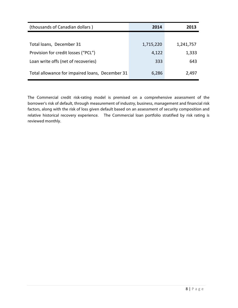| (thousands of Canadian dollars)                 | 2014      | 2013      |
|-------------------------------------------------|-----------|-----------|
|                                                 |           |           |
| Total loans, December 31                        | 1,715,220 | 1,241,757 |
| Provision for credit losses ("PCL")             | 4,122     | 1,333     |
| Loan write offs (net of recoveries)             | 333       | 643       |
| Total allowance for impaired loans, December 31 | 6,286     | 2,497     |

The Commercial credit risk-rating model is premised on a comprehensive assessment of the borrower's risk of default, through measurement of industry, business, management and financial risk factors, along with the risk of loss given default based on an assessment of security composition and relative historical recovery experience. The Commercial loan portfolio stratified by risk rating is reviewed monthly.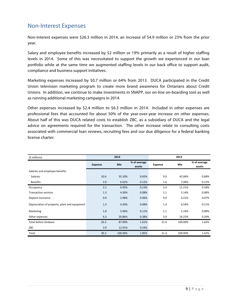## Non-Interest Expenses

Non-interest expenses were \$26.3 million in 2014, an increase of \$4.9 million or 23% from the prior year.

Salary and employee benefits increased by \$2 million or 19% primarily as a result of higher staffing levels in 2014. Some of this was necessitated to support the growth we experienced in our loan portfolio while at the same time we augmented staffing levels in our back office to support audit, compliance and business support initiatives.

Marketing expenses increased by \$0.7 million or 64% from 2013. DUCA participated in the Credit Union television marketing program to create more brand awareness for Ontarians about Credit Unions. In addition, we continue to make investments in SNAPP, our on-line on-boarding tool as well as running additional marketing campaigns in 2014.

Other expenses increased by \$2.4 million to \$6.3 million in 2014. Included in other expenses are professional fees that accounted for about 50% of the year-over-year increase on other expenses. About half of this was DUCA related costs to establish ZBC, as a subsidiary of DUCA and the legal advice on agreements required for the transaction. The other increase relate to consulting costs associated with commercial loan reviews, recruiting fees and our due diligence for a federal banking license charter.

| (\$ millions)                                 | 2014           |            |                        | 2013           |         |                        |
|-----------------------------------------------|----------------|------------|------------------------|----------------|---------|------------------------|
|                                               | <b>Expense</b> | <b>Mix</b> | % of average<br>assets | <b>Expense</b> | Mix     | % of average<br>assets |
| Salaries and employee benefits                |                |            |                        |                |         |                        |
| Salaries                                      | 10.6           | 35.10%     | 0.65%                  | 9.0            | 42.06%  | 0.68%                  |
| <b>Benefits</b>                               | 2.0            | 6.62%      | 0.12%                  | 1.6            | 7.48%   | 0.12%                  |
| Occupancy                                     | 2.1            | 6.95%      | 0.13%                  | 2.4            | 11.21%  | 0.18%                  |
| <b>Transaction services</b>                   | 1.3            | 4.30%      | 0.08%                  | 1.1            | 5.14%   | 0.08%                  |
| Deposit insurance                             | 0.9            | 2.98%      | 0.06%                  | 0.9            | 4.21%   | 0.07%                  |
| Depreciation of property, plant and equipment | 1.3            | 4.30%      | 0.08%                  | 1.4            | 6.54%   | 0.11%                  |
| Marketing                                     | 1.8            | 5.96%      | 0.11%                  | 1.1            | 5.14%   | 0.08%                  |
| Other expenses                                | 6.3            | 20.86%     | 0.38%                  | 3.9            | 18.22%  | 0.29%                  |
| Total before Zenbanx                          | 26.3           | 87.09%     | 1.61%                  | 21.4           | 100.00% | 1.62%                  |
| ZBC                                           | 3.9            | 12.91%     | 0.24%                  |                |         |                        |
| Total                                         | 30.2           | 100.00%    | 1.85%                  | 21.4           | 100.00% | 1.62%                  |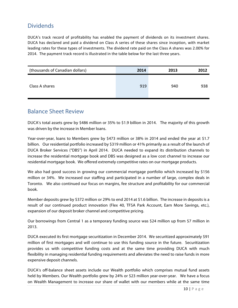## **Dividends**

DUCA's track record of profitability has enabled the payment of dividends on its investment shares. DUCA has declared and paid a dividend on Class A series of these shares since inception, with market leading rates for these types of investments. The dividend rate paid on the Class A shares was 2.00% for 2014. The payment track record is illustrated in the table below for the last three years.

| (thousands of Canadian dollars) | 2014 | 2013 | 2012 |
|---------------------------------|------|------|------|
| Class A shares                  | 919  | 940  | 938  |

## Balance Sheet Review

DUCA's total assets grew by \$486 million or 35% to \$1.9 billion in 2014. The majority of this growth was driven by the increase in Member loans.

Year-over-year, loans to Members grew by \$473 million or 38% in 2014 and ended the year at \$1.7 billion. Our residential portfolio increased by \$319 million or 41% primarily as a result of the launch of DUCA Broker Services ("DBS") in April 2014. DUCA needed to expand its distribution channels to increase the residential mortgage book and DBS was designed as a low cost channel to increase our residential mortgage book. We offered extremely competitive rates on our mortgage products.

We also had good success in growing our commercial mortgage portfolio which increased by \$156 million or 34%. We increased our staffing and participated in a number of large, complex deals in Toronto. We also continued our focus on margins, fee structure and profitability for our commercial book.

Member deposits grew by \$372 million or 29% to end 2014 at \$1.6 billion. The increase in deposits is a result of our continued product innovation (Flex 40, TFSA Park Account, Earn More Savings, etc.), expansion of our deposit broker channel and competitive pricing.

Our borrowings from Central 1 as a temporary funding source was \$24 million up from \$7 million in 2013.

DUCA executed its first mortgage securitization in December 2014. We securitized approximately \$91 million of first mortgages and will continue to use this funding source in the future. Securitization provides us with competitive funding costs and at the same time providing DUCA with much flexibility in managing residential funding requirements and alleviates the need to raise funds in more expensive deposit channels.

DUCA's off-balance sheet assets include our Wealth portfolio which comprises mutual fund assets held by Members. Our Wealth portfolio grew by 24% or \$23 million year-over-year. We have a focus on Wealth Management to increase our share of wallet with our members while at the same time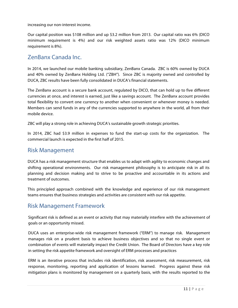increasing our non-interest income.

Our capital position was \$108 million and up \$3.2 million from 2013. Our capital ratio was 6% (DICO minimum requirement is 4%) and our risk weighted assets ratio was 12% (DICO minimum requirement is 8%).

## ZenBanx Canada Inc.

In 2014, we launched our mobile banking subsidiary, ZenBanx Canada. ZBC is 60% owned by DUCA and 40% owned by ZenBanx Holding Ltd. ("ZBH"). Since ZBC is majority owned and controlled by DUCA, ZBC results have been fully consolidated in DUCA's financial statements.

The ZenBanx account is a secure bank account, regulated by DICO, that can hold up to five different currencies at once, and interest is earned, just like a savings account. The ZenBanx account provides total flexibility to convert one currency to another when convenient or whenever money is needed. Members can send funds in any of the currencies supported to anywhere in the world, all from their mobile device.

ZBC will play a strong role in achieving DUCA's sustainable growth strategic priorities.

In 2014, ZBC had \$3.9 million in expenses to fund the start-up costs for the organization. The commercial launch is expected in the first half of 2015.

## Risk Management

DUCA has a risk management structure that enables us to adapt with agility to economic changes and shifting operational environments. Our risk management philosophy is to anticipate risk in all its planning and decision making and to strive to be proactive and accountable in its actions and treatment of outcomes.

This principled approach combined with the knowledge and experience of our risk management teams ensures that business strategies and activities are consistent with our risk appetite.

## Risk Management Framework

Significant risk is defined as an event or activity that may materially interfere with the achievement of goals or an opportunity missed.

DUCA uses an enterprise-wide risk management framework ("ERM") to manage risk. Management manages risk on a prudent basis to achieve business objectives and so that no single event or combination of events will materially impact the Credit Union. The Board of Directors have a key role in setting the risk appetite framework and oversight of ERM processes and practices

ERM is an iterative process that includes risk identification, risk assessment, risk measurement, risk response, monitoring, reporting and application of lessons learned. Progress against these risk mitigation plans is monitored by management on a quarterly basis, with the results reported to the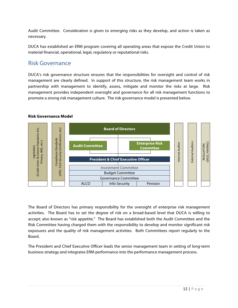Audit Committee. Consideration is given to emerging risks as they develop, and action is taken as necessary.

DUCA has established an ERM program covering all operating areas that expose the Credit Union to material financial, operational, legal, regulatory or reputational risks.

## Risk Governance

**Risk Governance Model**

DUCA's risk governance structure ensures that the responsibilities for oversight and control of risk management are clearly defined. In support of this structure, the risk management team works in partnership with management to identify, assess, mitigate and monitor the risks at large. Risk management provides independent oversight and governance for all risk management functions to promote a strong risk management culture. The risk governance model is presented below.



The Board of Directors has primary responsibility for the oversight of enterprise risk management activities. The Board has to set the degree of risk on a broad-based level that DUCA is willing to accept; also known as "risk appetite." The Board has established both the Audit Committee and the Risk Committee having charged them with the responsibility to develop and monitor significant risk exposures and the quality of risk management activities. Both Committees report regularly to the Board.

The President and Chief Executive Officer leads the senior management team in setting of long-term business strategy and integrates ERM performance into the performance management process.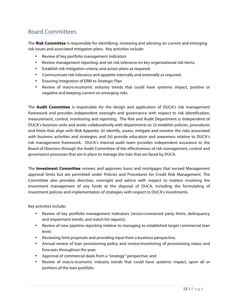# Board Committees

The **Risk Committee** is responsible for identifying, reviewing and advising on current and emerging risk issues and associated mitigation plans. Key activities include:

- Review of key portfolio management indicators
- Review management reporting; and set risk tolerance on key organizational risk items;
- Establish risk mitigation criteria; and action plans as required;
- Communicate risk tolerance and appetite internally and externally as required;
- Ensuring integration of ERM to Strategic Plan
- Review of macro-economic industry trends that could have systemic impact, positive or negative and keeping current on emerging risks.

The **Audit Committee** is responsible for the design and application of DUCA's risk management framework and provides independent oversight and governance with respect to risk identification, measurement, control, monitoring and reporting. The Risk and Audit Department is independent of DUCA's business units and works collaboratively with departments to: (i) establish policies, procedures and limits that align with Risk Appetite; (ii) identify, assess, mitigate and monitor the risks associated with business activities and strategies; and (iii) provide education and awareness relative to DUCA's risk management framework. DUCA's internal audit team provides independent assurance to the Board of Directors through the Audit Committee of the effectiveness of risk management, control and governance processes that are in place to manage the risks that are faced by DUCA.

The **Investment Committee** reviews and approves loans and mortgages that exceed Management approval limits but are permitted under Policies and Procedures for Credit Risk Management. The Committee also provides direction, oversight and advice with respect to matters involving the investment management of any funds at the disposal of DUCA, including the formulating of investment policies and implementation of strategies with respect to DUCA's investments.

Key activities include:

- Review of key portfolio management indicators (sector/connected party limits, delinquency and impairment trends, and watch list reports);
- Review of new pipeline reporting relative to managing to established target commercial loan level;
- Reviewing limit proposals and providing input from a business perspective;
- Annual review of loan provisioning policy and review/monitoring of provisioning status and forecasts throughout the year;
- Approval of commercial deals from a "strategy" perspective; and
- Review of macro-economic industry trends that could have systemic impact, upon all or portions of the loan portfolio.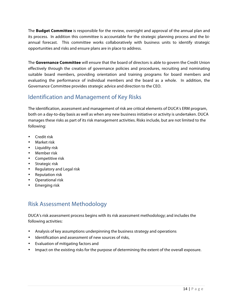The **Budget Committee** is responsible for the review, oversight and approval of the annual plan and its process. In addition this committee is accountable for the strategic planning process and the biannual forecast. This committee works collaboratively with business units to identify strategic opportunities and risks and ensure plans are in place to address.

The **Governance Committee** will ensure that the board of directors is able to govern the Credit Union effectively through the creation of governance policies and procedures, recruiting and nominating suitable board members, providing orientation and training programs for board members and evaluating the performance of individual members and the board as a whole. In addition, the Governance Committee provides strategic advice and direction to the CEO.

## Identification and Management of Key Risks

The identification, assessment and management of risk are critical elements of DUCA's ERM program, both on a day-to-day basis as well as when any new business initiative or activity is undertaken. DUCA manages these risks as part of its risk management activities. Risks include, but are not limited to the following:

- Credit risk
- Market risk
- Liquidity risk
- Member risk
- Competitive risk
- Strategic risk
- Regulatory and Legal risk
- Reputation risk
- Operational risk
- Emerging risk

# Risk Assessment Methodology

DUCA's risk assessment process begins with its risk assessment methodology; and includes the following activities:

- Analysis of key assumptions underpinning the business strategy and operations
- Identification and assessment of new sources of risks,
- Evaluation of mitigating factors and
- Impact on the existing risks for the purpose of determining the extent of the overall exposure.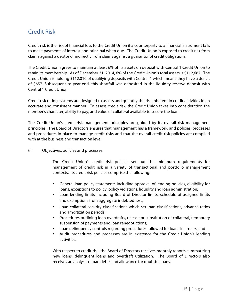## Credit Risk

Credit risk is the risk of financial loss to the Credit Union if a counterparty to a financial instrument fails to make payments of interest and principal when due. The Credit Union is exposed to credit risk from claims against a debtor or indirectly from claims against a guarantor of credit obligations.

The Credit Union agrees to maintain at least 6% of its assets on deposit with Central 1 Credit Union to retain its membership. As of December 31, 2014, 6% of the Credit Union's total assets is \$112,667. The Credit Union is holding \$112,010 of qualifying deposits with Central 1 which means they have a deficit of \$657. Subsequent to year-end, this shortfall was deposited in the liquidity reserve deposit with Central 1 Credit Union.

Credit risk rating systems are designed to assess and quantify the risk inherent in credit activities in an accurate and consistent manner. To assess credit risk, the Credit Union takes into consideration the member's character, ability to pay, and value of collateral available to secure the loan.

The Credit Union's credit risk management principles are guided by its overall risk management principles. The Board of Directors ensures that management has a framework, and policies, processes and procedures in place to manage credit risks and that the overall credit risk policies are complied with at the business and transaction level.

(i) Objectives, policies and processes:

The Credit Union's credit risk policies set out the minimum requirements for management of credit risk in a variety of transactional and portfolio management contexts. Its credit risk policies comprise the following:

- General loan policy statements including approval of lending policies, eligibility for loans, exceptions to policy, policy violations, liquidity and loan administration;
- Loan lending limits including Board of Director limits, schedule of assigned limits and exemptions from aggregate indebtedness;
- Loan collateral security classifications which set loan classifications, advance ratios and amortization periods;
- Procedures outlining loan overdrafts, release or substitution of collateral, temporary suspension of payments and loan renegotiations;
- Loan delinquency controls regarding procedures followed for loans in arrears; and
- Audit procedures and processes are in existence for the Credit Union's lending activities.

With respect to credit risk, the Board of Directors receives monthly reports summarizing new loans, delinquent loans and overdraft utilization. The Board of Directors also receives an analysis of bad debts and allowance for doubtful loans.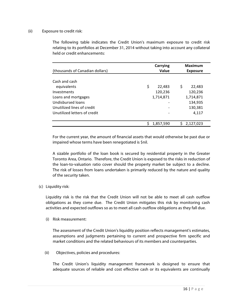### (ii) Exposure to credit risk:

The following table indicates the Credit Union's maximum exposure to credit risk relating to its portfolios at December 31, 2014 without taking into account any collateral held or credit enhancements:

| (thousands of Canadian dollars) | <b>Carrying</b><br>Value | <b>Maximum</b><br><b>Exposure</b> |
|---------------------------------|--------------------------|-----------------------------------|
|                                 |                          |                                   |
| Cash and cash                   |                          |                                   |
| equivalents                     | \$<br>22,483             | \$<br>22,483                      |
| Investments                     | 120,236                  | 120,236                           |
| Loans and mortgages             | 1,714,871                | 1,714,871                         |
| Undisbursed loans               |                          | 134,935                           |
| Unutilized lines of credit      |                          | 130,381                           |
| Unutilized letters of credit    |                          | 4,117                             |
|                                 |                          |                                   |
|                                 | 1,857,590                | 2,127,023                         |

For the current year, the amount of financial assets that would otherwise be past due or impaired whose terms have been renegotiated is \$nil.

A sizable portfolio of the loan book is secured by residential property in the Greater Toronto Area, Ontario. Therefore, the Credit Union is exposed to the risks in reduction of the loan-to-valuation ratio cover should the property market be subject to a decline. The risk of losses from loans undertaken is primarily reduced by the nature and quality of the security taken.

## (c) Liquidity risk:

Liquidity risk is the risk that the Credit Union will not be able to meet all cash outflow obligations as they come due. The Credit Union mitigates this risk by monitoring cash activities and expected outflows so as to meet all cash outflow obligations as they fall due.

(i) Risk measurement:

The assessment of the Credit Union's liquidity position reflects management's estimates, assumptions and judgments pertaining to current and prospective firm specific and market conditions and the related behaviours of its members and counterparties.

(ii) Objectives, policies and procedures:

The Credit Union's liquidity management framework is designed to ensure that adequate sources of reliable and cost effective cash or its equivalents are continually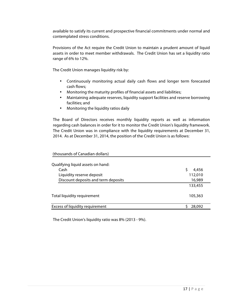available to satisfy its current and prospective financial commitments under normal and contemplated stress conditions.

Provisions of the Act require the Credit Union to maintain a prudent amount of liquid assets in order to meet member withdrawals. The Credit Union has set a liquidity ratio range of 6% to 12%.

The Credit Union manages liquidity risk by:

- Continuously monitoring actual daily cash flows and longer term forecasted cash flows;
- Monitoring the maturity profiles of financial assets and liabilities;
- Maintaining adequate reserves, liquidity support facilities and reserve borrowing facilities; and
- Monitoring the liquidity ratios daily

The Board of Directors receives monthly liquidity reports as well as information regarding cash balances in order for it to monitor the Credit Union's liquidity framework. The Credit Union was in compliance with the liquidity requirements at December 31, 2014. As at December 31, 2014, the position of the Credit Union is as follows:

| (thousands of Canadian dollars)     |         |
|-------------------------------------|---------|
|                                     |         |
| Qualifying liquid assets on hand:   |         |
| Cash                                | 4,456   |
| Liquidity reserve deposit           | 112,010 |
| Discount deposits and term deposits | 16,989  |
|                                     | 133,455 |
| Total liquidity requirement         | 105,363 |
| Excess of liquidity requirement     | 28,092  |
|                                     |         |

The Credit Union's liquidity ratio was 8% (2013 - 9%).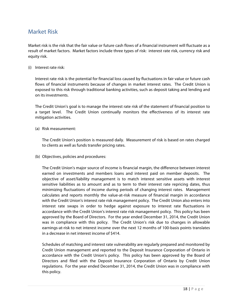## Market Risk

Market risk is the risk that the fair value or future cash flows of a financial instrument will fluctuate as a result of market factors. Market factors include three types of risk: interest rate risk, currency risk and equity risk.

(i) Interest rate risk:

Interest rate risk is the potential for financial loss caused by fluctuations in fair value or future cash flows of financial instruments because of changes in market interest rates. The Credit Union is exposed to this risk through traditional banking activities, such as deposit taking and lending and on its investments.

The Credit Union's goal is to manage the interest rate risk of the statement of financial position to a target level. The Credit Union continually monitors the effectiveness of its interest rate mitigation activities.

(a) Risk measurement:

The Credit Union's position is measured daily. Measurement of risk is based on rates charged to clients as well as funds transfer pricing rates.

(b) Objectives, policies and procedures:

The Credit Union's major source of income is financial margin, the difference between interest earned on investments and members loans and interest paid on member deposits. The objective of asset/liability management is to match interest sensitive assets with interest sensitive liabilities as to amount and as to term to their interest rate repricing dates, thus minimizing fluctuations of income during periods of changing interest rates. Management calculates and reports monthly the value-at-risk measure of financial margin in accordance with the Credit Union's interest rate risk management policy. The Credit Union also enters into interest rate swaps in order to hedge against exposure to interest rate fluctuations in accordance with the Credit Union's interest rate risk management policy. This policy has been approved by the Board of Directors. For the year ended December 31, 2014, the Credit Union was in compliance with this policy. The Credit Union's risk due to changes in allowable earnings-at-risk to net interest income over the next 12 months of 100-basis points translates in a decrease in net interest income of \$414.

Schedules of matching and interest rate vulnerability are regularly prepared and monitored by Credit Union management and reported to the Deposit Insurance Corporation of Ontario in accordance with the Credit Union's policy. This policy has been approved by the Board of Directors and filed with the Deposit Insurance Corporation of Ontario by Credit Union regulations. For the year ended December 31, 2014, the Credit Union was in compliance with this policy.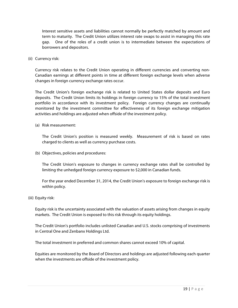Interest sensitive assets and liabilities cannot normally be perfectly matched by amount and term to maturity. The Credit Union utilizes interest rate swaps to assist in managing this rate gap. One of the roles of a credit union is to intermediate between the expectations of borrowers and depositors.

(ii) Currency risk:

Currency risk relates to the Credit Union operating in different currencies and converting non-Canadian earnings at different points in time at different foreign exchange levels when adverse changes in foreign currency exchange rates occur.

The Credit Union's foreign exchange risk is related to United States dollar deposits and Euro deposits. The Credit Union limits its holdings in foreign currency to 15% of the total investment portfolio in accordance with its investment policy. Foreign currency changes are continually monitored by the investment committee for effectiveness of its foreign exchange mitigation activities and holdings are adjusted when offside of the investment policy.

(a) Risk measurement:

The Credit Union's position is measured weekly. Measurement of risk is based on rates charged to clients as well as currency purchase costs.

(b) Objectives, policies and procedures:

The Credit Union's exposure to changes in currency exchange rates shall be controlled by limiting the unhedged foreign currency exposure to \$2,000 in Canadian funds.

For the year ended December 31, 2014, the Credit Union's exposure to foreign exchange risk is within policy.

(iii) Equity risk:

Equity risk is the uncertainty associated with the valuation of assets arising from changes in equity markets. The Credit Union is exposed to this risk through its equity holdings.

The Credit Union's portfolio includes unlisted Canadian and U.S. stocks comprising of investments in Central One and Zenbanx Holdings Ltd.

The total investment in preferred and common shares cannot exceed 10% of capital.

Equities are monitored by the Board of Directors and holdings are adjusted following each quarter when the investments are offside of the investment policy.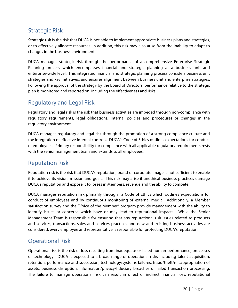## Strategic Risk

Strategic risk is the risk that DUCA is not able to implement appropriate business plans and strategies, or to effectively allocate resources. In addition, this risk may also arise from the inability to adapt to changes in the business environment.

DUCA manages strategic risk through the performance of a comprehensive Enterprise Strategic Planning process which encompasses financial and strategic planning at a business unit and enterprise-wide level. This integrated financial and strategic planning process considers business unit strategies and key initiatives, and ensures alignment between business unit and enterprise strategies. Following the approval of the strategy by the Board of Directors, performance relative to the strategic plan is monitored and reported on, including the effectiveness and risks.

## Regulatory and Legal Risk

Regulatory and legal risk is the risk that business activities are impeded through non-compliance with regulatory requirements, legal obligations, internal policies and procedures or changes in the regulatory environment.

DUCA manages regulatory and legal risk through the promotion of a strong compliance culture and the integration of effective internal controls. DUCA's Code of Ethics outlines expectations for conduct of employees. Primary responsibility for compliance with all applicable regulatory requirements rests with the senior management team and extends to all employees. 

## Reputation Risk

Reputation risk is the risk that DUCA's reputation, brand or corporate image is not sufficient to enable it to achieve its vision, mission and goals. This risk may arise if unethical business practices damage DUCA's reputation and expose it to losses in Members, revenue and the ability to compete.

DUCA manages reputation risk primarily through its Code of Ethics which outlines expectations for conduct of employees and by continuous monitoring of external media. Additionally, a Member satisfaction survey and the "Voice of the Member" program provide management with the ability to identify issues or concerns which have or may lead to reputational impacts. While the Senior Management Team is responsible for ensuring that any reputational risk issues related to products and services, transactions, sales and services practices and new and existing business activities are considered, every employee and representative is responsible for protecting DUCA's reputation.

## Operational Risk

Operational risk is the risk of loss resulting from inadequate or failed human performance, processes or technology. DUCA is exposed to a broad range of operational risks including talent acquisition, retention, performance and succession, technology/systems failures, fraud/theft/misappropriation of assets, business disruption, information/privacy/fiduciary breaches or failed transaction processing. The failure to manage operational risk can result in direct or indirect financial loss, reputational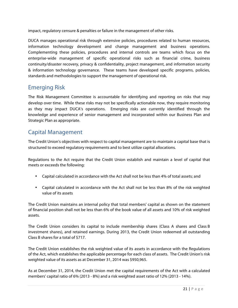impact, regulatory censure & penalties or failure in the management of other risks.

DUCA manages operational risk through extensive policies, procedures related to human resources, information technology development and change management and business operations. Complementing these policies, procedures and internal controls are teams which focus on the enterprise-wide management of specific operational risks such as financial crime, business continuity/disaster recovery, privacy & confidentiality, project management, and information security & information technology governance. These teams have developed specific programs, policies, standards and methodologies to support the management of operational risk.

## Emerging Risk

The Risk Management Committee is accountable for identifying and reporting on risks that may develop over time. While these risks may not be specifically actionable now, they require monitoring as they may impact DUCA's operations. Emerging risks are currently identified through the knowledge and experience of senior management and incorporated within our Business Plan and Strategic Plan as appropriate.

## Capital Management

The Credit Union's objectives with respect to capital management are to maintain a capital base that is structured to exceed regulatory requirements and to best utilize capital allocations.

Regulations to the Act require that the Credit Union establish and maintain a level of capital that meets or exceeds the following:

- Capital calculated in accordance with the Act shall not be less than 4% of total assets; and
- Capital calculated in accordance with the Act shall not be less than 8% of the risk weighted value of its assets

The Credit Union maintains an internal policy that total members' capital as shown on the statement of financial position shall not be less than 6% of the book value of all assets and 10% of risk weighted assets.

The Credit Union considers its capital to include membership shares (Class A shares and Class B investment shares), and retained earnings. During 2013, the Credit Union redeemed all outstanding Class B shares for a total of \$717.

The Credit Union establishes the risk weighted value of its assets in accordance with the Regulations of the Act, which establishes the applicable percentage for each class of assets. The Credit Union's risk weighted value of its assets as at December 31, 2014 was \$950,965.

As at December 31, 2014, the Credit Union met the capital requirements of the Act with a calculated members' capital ratio of 6% (2013 - 8%) and a risk weighted asset ratio of 12% (2013 - 14%).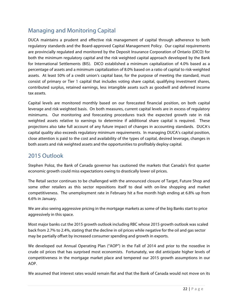## Managing and Monitoring Capital

DUCA maintains a prudent and effective risk management of capital through adherence to both regulatory standards and the Board-approved Capital Management Policy. Our capital requirements are provincially regulated and monitored by the Deposit Insurance Corporation of Ontario (DICO) for both the minimum regulatory capital and the risk weighted capital approach developed by the Bank for International Settlements (BIS). DICO established a minimum capitalization of 4.0% based as a percentage of assets and a minimum capitalization of 8.0% based on a ratio of capital to risk-weighted assets. At least 50% of a credit union's capital base, for the purpose of meeting the standard, must consist of primary or Tier 1 capital that includes voting share capital, qualifying investment shares, contributed surplus, retained earnings, less intangible assets such as goodwill and deferred income tax assets.

Capital levels are monitored monthly based on our forecasted financial position, on both capital leverage and risk weighted basis. On both measures, current capital levels are in excess of regulatory minimums. Our monitoring and forecasting procedures track the expected growth rate in risk weighted assets relative to earnings to determine if additional share capital is required. These projections also take full account of any future impact of changes in accounting standards. DUCA's capital quality also exceeds regulatory minimum requirements. In managing DUCA's capital position, close attention is paid to the cost and availability of the types of capital, desired leverage, changes in both assets and risk weighted assets and the opportunities to profitably deploy capital.

## 2015 Outlook

Stephen Poloz, the Bank of Canada governor has cautioned the markets that Canada's first quarter economic growth could miss expectations owing to drastically lower oil prices.

The Retail sector continues to be challenged with the announced closure of Target, Future Shop and some other retailers as this sector repositions itself to deal with on-line shopping and market competitiveness. The unemployment rate in February hit a five month high ending at 6.8% up from 6.6% in January.

We are also seeing aggressive pricing in the mortgage markets as some of the big Banks start to price aggressively in this space.

Most major banks cut the 2015 growth outlook including RBC whose 2015 growth outlook was scaled back from 2.7% to 2.4%, stating that the decline in oil prices while negative for the oil and gas sector may be partially offset by increased consumer spending and growth in exports.

We developed out Annual Operating Plan ("AOP") in the Fall of 2014 and prior to the nosedive in crude oil prices that has surprised most economists. Fortunately, we did anticipate higher levels of competitiveness in the mortgage market place and tempered our 2015 growth assumptions in our AOP.

We assumed that interest rates would remain flat and that the Bank of Canada would not move on its